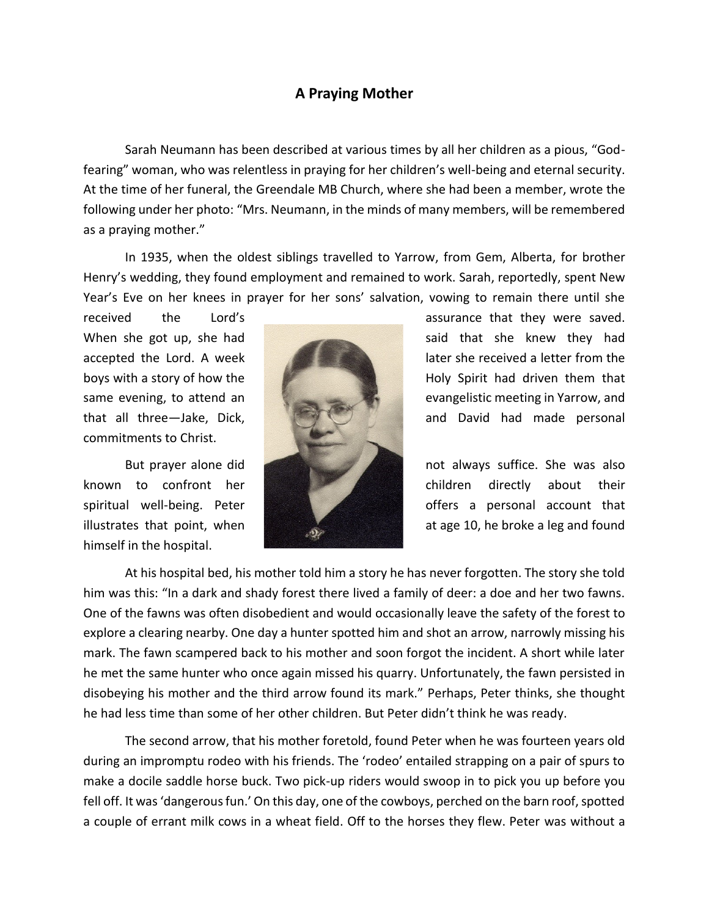## **A Praying Mother**

Sarah Neumann has been described at various times by all her children as a pious, "Godfearing" woman, who was relentless in praying for her children's well-being and eternal security. At the time of her funeral, the Greendale MB Church, where she had been a member, wrote the following under her photo: "Mrs. Neumann, in the minds of many members, will be remembered as a praying mother."

In 1935, when the oldest siblings travelled to Yarrow, from Gem, Alberta, for brother Henry's wedding, they found employment and remained to work. Sarah, reportedly, spent New Year's Eve on her knees in prayer for her sons' salvation, vowing to remain there until she

commitments to Christ.

himself in the hospital.



received the Lord's assurance that they were saved. When she got up, she had said that she knew they had accepted the Lord. A week later she received a letter from the boys with a story of how the Holy Spirit had driven them that same evening, to attend an evangelistic meeting in Yarrow, and that all three—Jake, Dick, and David had made personal

But prayer alone did **not always suffice.** She was also known to confront her **children** children directly about their spiritual well-being. Peter **offers** a personal account that illustrates that point, when **a light of the set of the set of the set of the set of the set of the set of the s** 

At his hospital bed, his mother told him a story he has never forgotten. The story she told him was this: "In a dark and shady forest there lived a family of deer: a doe and her two fawns. One of the fawns was often disobedient and would occasionally leave the safety of the forest to explore a clearing nearby. One day a hunter spotted him and shot an arrow, narrowly missing his mark. The fawn scampered back to his mother and soon forgot the incident. A short while later he met the same hunter who once again missed his quarry. Unfortunately, the fawn persisted in disobeying his mother and the third arrow found its mark." Perhaps, Peter thinks, she thought he had less time than some of her other children. But Peter didn't think he was ready.

The second arrow, that his mother foretold, found Peter when he was fourteen years old during an impromptu rodeo with his friends. The 'rodeo' entailed strapping on a pair of spurs to make a docile saddle horse buck. Two pick-up riders would swoop in to pick you up before you fell off. It was 'dangerous fun.' On this day, one of the cowboys, perched on the barn roof, spotted a couple of errant milk cows in a wheat field. Off to the horses they flew. Peter was without a